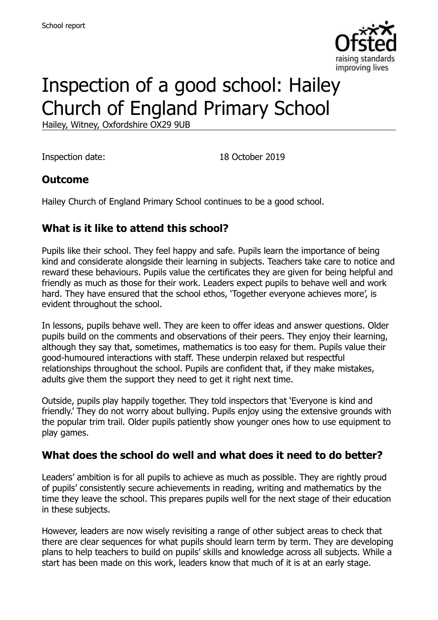

# Inspection of a good school: Hailey Church of England Primary School

Hailey, Witney, Oxfordshire OX29 9UB

Inspection date: 18 October 2019

#### **Outcome**

Hailey Church of England Primary School continues to be a good school.

### **What is it like to attend this school?**

Pupils like their school. They feel happy and safe. Pupils learn the importance of being kind and considerate alongside their learning in subjects. Teachers take care to notice and reward these behaviours. Pupils value the certificates they are given for being helpful and friendly as much as those for their work. Leaders expect pupils to behave well and work hard. They have ensured that the school ethos, 'Together everyone achieves more', is evident throughout the school.

In lessons, pupils behave well. They are keen to offer ideas and answer questions. Older pupils build on the comments and observations of their peers. They enjoy their learning, although they say that, sometimes, mathematics is too easy for them. Pupils value their good-humoured interactions with staff. These underpin relaxed but respectful relationships throughout the school. Pupils are confident that, if they make mistakes, adults give them the support they need to get it right next time.

Outside, pupils play happily together. They told inspectors that 'Everyone is kind and friendly.' They do not worry about bullying. Pupils enjoy using the extensive grounds with the popular trim trail. Older pupils patiently show younger ones how to use equipment to play games.

#### **What does the school do well and what does it need to do better?**

Leaders' ambition is for all pupils to achieve as much as possible. They are rightly proud of pupils' consistently secure achievements in reading, writing and mathematics by the time they leave the school. This prepares pupils well for the next stage of their education in these subjects.

However, leaders are now wisely revisiting a range of other subject areas to check that there are clear sequences for what pupils should learn term by term. They are developing plans to help teachers to build on pupils' skills and knowledge across all subjects. While a start has been made on this work, leaders know that much of it is at an early stage.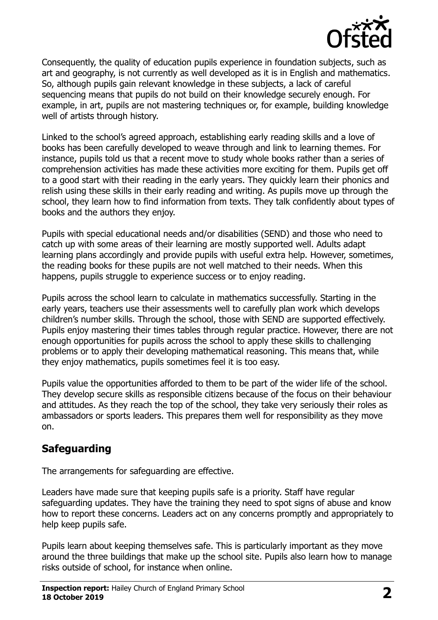

Consequently, the quality of education pupils experience in foundation subjects, such as art and geography, is not currently as well developed as it is in English and mathematics. So, although pupils gain relevant knowledge in these subjects, a lack of careful sequencing means that pupils do not build on their knowledge securely enough. For example, in art, pupils are not mastering techniques or, for example, building knowledge well of artists through history.

Linked to the school's agreed approach, establishing early reading skills and a love of books has been carefully developed to weave through and link to learning themes. For instance, pupils told us that a recent move to study whole books rather than a series of comprehension activities has made these activities more exciting for them. Pupils get off to a good start with their reading in the early years. They quickly learn their phonics and relish using these skills in their early reading and writing. As pupils move up through the school, they learn how to find information from texts. They talk confidently about types of books and the authors they enjoy.

Pupils with special educational needs and/or disabilities (SEND) and those who need to catch up with some areas of their learning are mostly supported well. Adults adapt learning plans accordingly and provide pupils with useful extra help. However, sometimes, the reading books for these pupils are not well matched to their needs. When this happens, pupils struggle to experience success or to enjoy reading.

Pupils across the school learn to calculate in mathematics successfully. Starting in the early years, teachers use their assessments well to carefully plan work which develops children's number skills. Through the school, those with SEND are supported effectively. Pupils enjoy mastering their times tables through regular practice. However, there are not enough opportunities for pupils across the school to apply these skills to challenging problems or to apply their developing mathematical reasoning. This means that, while they enjoy mathematics, pupils sometimes feel it is too easy.

Pupils value the opportunities afforded to them to be part of the wider life of the school. They develop secure skills as responsible citizens because of the focus on their behaviour and attitudes. As they reach the top of the school, they take very seriously their roles as ambassadors or sports leaders. This prepares them well for responsibility as they move on.

#### **Safeguarding**

The arrangements for safeguarding are effective.

Leaders have made sure that keeping pupils safe is a priority. Staff have regular safeguarding updates. They have the training they need to spot signs of abuse and know how to report these concerns. Leaders act on any concerns promptly and appropriately to help keep pupils safe.

Pupils learn about keeping themselves safe. This is particularly important as they move around the three buildings that make up the school site. Pupils also learn how to manage risks outside of school, for instance when online.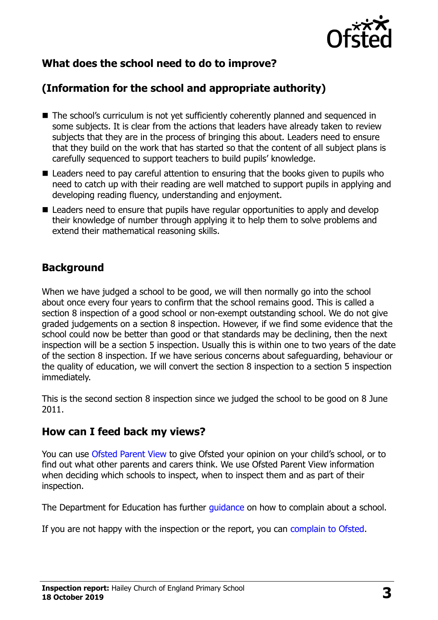

## **What does the school need to do to improve?**

## **(Information for the school and appropriate authority)**

- The school's curriculum is not yet sufficiently coherently planned and sequenced in some subjects. It is clear from the actions that leaders have already taken to review subjects that they are in the process of bringing this about. Leaders need to ensure that they build on the work that has started so that the content of all subject plans is carefully sequenced to support teachers to build pupils' knowledge.
- Leaders need to pay careful attention to ensuring that the books given to pupils who need to catch up with their reading are well matched to support pupils in applying and developing reading fluency, understanding and enjoyment.
- Leaders need to ensure that pupils have regular opportunities to apply and develop their knowledge of number through applying it to help them to solve problems and extend their mathematical reasoning skills.

## **Background**

When we have judged a school to be good, we will then normally go into the school about once every four years to confirm that the school remains good. This is called a section 8 inspection of a good school or non-exempt outstanding school. We do not give graded judgements on a section 8 inspection. However, if we find some evidence that the school could now be better than good or that standards may be declining, then the next inspection will be a section 5 inspection. Usually this is within one to two years of the date of the section 8 inspection. If we have serious concerns about safeguarding, behaviour or the quality of education, we will convert the section 8 inspection to a section 5 inspection immediately.

This is the second section 8 inspection since we judged the school to be good on 8 June 2011.

#### **How can I feed back my views?**

You can use [Ofsted Parent View](https://parentview.ofsted.gov.uk/) to give Ofsted your opinion on your child's school, or to find out what other parents and carers think. We use Ofsted Parent View information when deciding which schools to inspect, when to inspect them and as part of their inspection.

The Department for Education has further quidance on how to complain about a school.

If you are not happy with the inspection or the report, you can [complain to Ofsted.](https://www.gov.uk/complain-ofsted-report)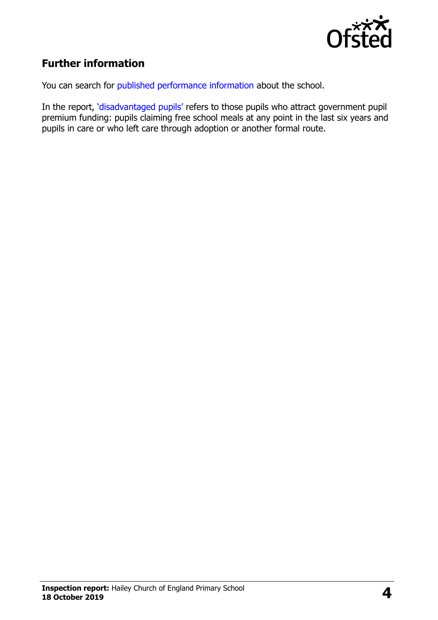

## **Further information**

You can search for [published performance information](http://www.compare-school-performance.service.gov.uk/) about the school.

In the report, '[disadvantaged pupils](http://www.gov.uk/guidance/pupil-premium-information-for-schools-and-alternative-provision-settings)' refers to those pupils who attract government pupil premium funding: pupils claiming free school meals at any point in the last six years and pupils in care or who left care through adoption or another formal route.

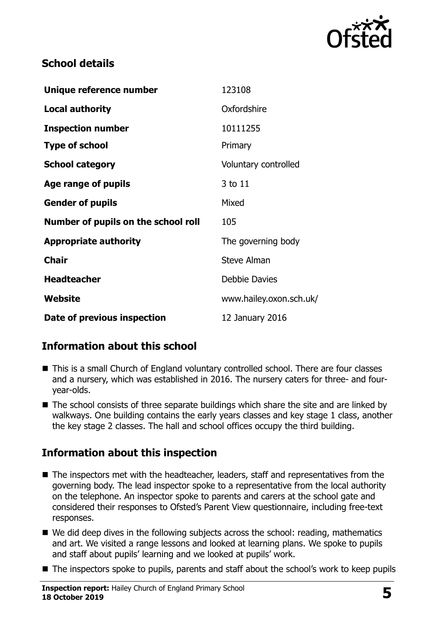

### **School details**

| Unique reference number             | 123108                  |
|-------------------------------------|-------------------------|
| <b>Local authority</b>              | Oxfordshire             |
| <b>Inspection number</b>            | 10111255                |
| <b>Type of school</b>               | Primary                 |
| <b>School category</b>              | Voluntary controlled    |
| Age range of pupils                 | 3 to 11                 |
| <b>Gender of pupils</b>             | Mixed                   |
| Number of pupils on the school roll | 105                     |
| <b>Appropriate authority</b>        | The governing body      |
| <b>Chair</b>                        | Steve Alman             |
| <b>Headteacher</b>                  | <b>Debbie Davies</b>    |
| Website                             | www.hailey.oxon.sch.uk/ |
| Date of previous inspection         | 12 January 2016         |

## **Information about this school**

- This is a small Church of England voluntary controlled school. There are four classes and a nursery, which was established in 2016. The nursery caters for three- and fouryear-olds.
- The school consists of three separate buildings which share the site and are linked by walkways. One building contains the early years classes and key stage 1 class, another the key stage 2 classes. The hall and school offices occupy the third building.

## **Information about this inspection**

- The inspectors met with the headteacher, leaders, staff and representatives from the governing body. The lead inspector spoke to a representative from the local authority on the telephone. An inspector spoke to parents and carers at the school gate and considered their responses to Ofsted's Parent View questionnaire, including free-text responses.
- We did deep dives in the following subjects across the school: reading, mathematics and art. We visited a range lessons and looked at learning plans. We spoke to pupils and staff about pupils' learning and we looked at pupils' work.
- The inspectors spoke to pupils, parents and staff about the school's work to keep pupils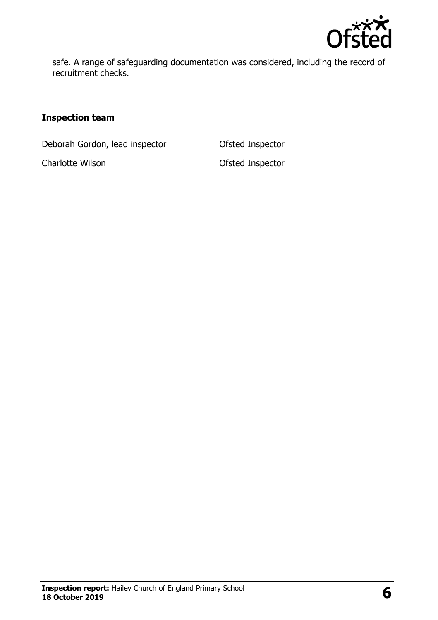

safe. A range of safeguarding documentation was considered, including the record of recruitment checks.

#### **Inspection team**

Deborah Gordon, lead inspector **Ofsted Inspector** 

Charlotte Wilson Ofsted Inspector